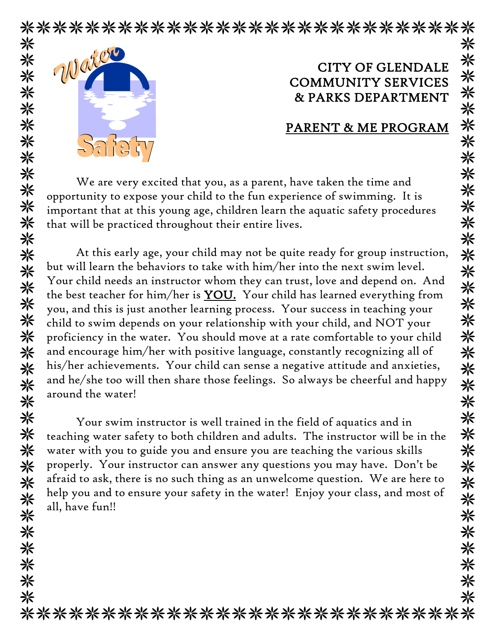\*\*\*\*\*\*\*\*\*\*\*\*\*\*\*\*\*\*\*\*\*\*\*\*\*\*\*\* 米



米

☀

米米米米米米米米米米米米米

米

米

米

关举条条

米 米 米

米

\*\*\*\*\*\*\*

米

## CITY OF GLENDALE COMMUNITY SERVICES & PARKS DEPARTMENT

## PARENT & ME PROGRAM

We are very excited that you, as a parent, have taken the time and opportunity to expose your child to the fun experience of swimming. It is important that at this young age, children learn the aquatic safety procedures that will be practiced throughout their entire lives.

At this early age, your child may not be quite ready for group instruction, but will learn the behaviors to take with him/her into the next swim level. Your child needs an instructor whom they can trust, love and depend on. And the best teacher for him/her is YOU. Your child has learned everything from you, and this is just another learning process. Your success in teaching your child to swim depends on your relationship with your child, and NOT your proficiency in the water. You should move at a rate comfortable to your child and encourage him/her with positive language, constantly recognizing all of his/her achievements. Your child can sense a negative attitude and anxieties, and he/she too will then share those feelings. So always be cheerful and happy around the water!

Your swim instructor is well trained in the field of aquatics and in teaching water safety to both children and adults. The instructor will be in the water with you to guide you and ensure you are teaching the various skills properly. Your instructor can answer any questions you may have. Don't be afraid to ask, there is no such thing as an unwelcome question. We are here to help you and to ensure your safety in the water! Enjoy your class, and most of all, have fun!!

\*\*\*\*\*\*\*\*\*\*\*\*\*\*\*\*\*\*\*\*\*\*\*\*\*\*\*\*